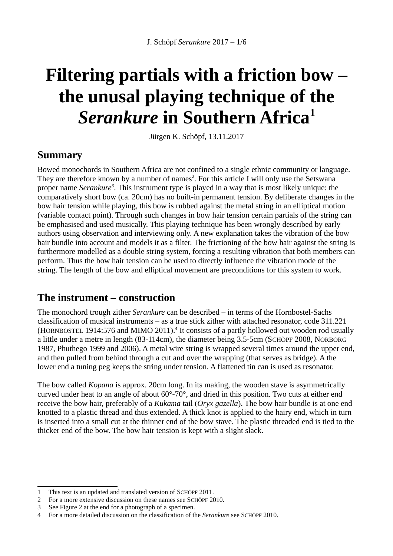# **Filtering partials with a friction bow – the unusal playing technique of the** *Serankure* **in Southern Africa[1](#page-0-0)**

Jürgen K. Schöpf, 13.11.2017

#### **Summary**

Bowed monochords in Southern Africa are not confined to a single ethnic community or language. They are therefore known by a number of names<sup>[2](#page-0-1)</sup>. For this article I will only use the Setswana proper name *Serankure[3](#page-0-2)* . This instrument type is played in a way that is most likely unique: the comparatively short bow (ca. 20cm) has no built-in permanent tension. By deliberate changes in the bow hair tension while playing, this bow is rubbed against the metal string in an elliptical motion (variable contact point). Through such changes in bow hair tension certain partials of the string can be emphasised and used musically. This playing technique has been wrongly described by early authors using observation and interviewing only. A new explanation takes the vibration of the bow hair bundle into account and models it as a filter. The frictioning of the bow hair against the string is furthermore modelled as a double string system, forcing a resulting vibration that both members can perform. Thus the bow hair tension can be used to directly influence the vibration mode of the string. The length of the bow and elliptical movement are preconditions for this system to work.

#### **The instrument – construction**

The monochord trough zither *Serankure* can be described – in terms of the Hornbostel-Sachs classification of musical instruments – as a true stick zither with attached resonator, code 311.221 (HORNBOSTEL 191[4](#page-0-3):576 and MIMO 2011).<sup>4</sup> It consists of a partly hollowed out wooden rod usually a little under a metre in length (83-114cm), the diameter being 3.5-5cm (SCHÖPF 2008, NORBORG 1987, Phuthego 1999 and 2006). A metal wire string is wrapped several times around the upper end, and then pulled from behind through a cut and over the wrapping (that serves as bridge). A the lower end a tuning peg keeps the string under tension. A flattened tin can is used as resonator.

The bow called *Kopana* is approx. 20cm long. In its making, the wooden stave is asymmetrically curved under heat to an angle of about 60°-70°, and dried in this position. Two cuts at either end receive the bow hair, preferably of a *Kukama* tail (*Oryx gazella*). The bow hair bundle is at one end knotted to a plastic thread and thus extended. A thick knot is applied to the hairy end, which in turn is inserted into a small cut at the thinner end of the bow stave. The plastic threaded end is tied to the thicker end of the bow. The bow hair tension is kept with a slight slack.

<span id="page-0-0"></span><sup>1</sup> This text is an updated and translated version of SCHÖPF 2011.

<span id="page-0-1"></span><sup>2</sup> For a more extensive discussion on these names see SCHÖPF 2010.<br>3 See Figure 2 at the end for a photograph of a specimen.

<span id="page-0-2"></span>See Figure 2 at the end for a photograph of a specimen.

<span id="page-0-3"></span><sup>4</sup> For a more detailed discussion on the classification of the *Serankure* see SCHÖPF 2010.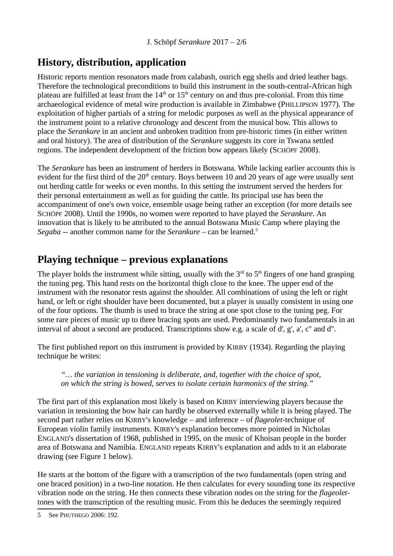## **History, distribution, application**

Historic reports mention resonators made from calabash, ostrich egg shells and dried leather bags. Therefore the technological preconditions to build this instrument in the south-central-African high plateau are fulfilled at least from the  $14<sup>th</sup>$  or  $15<sup>th</sup>$  century on and thus pre-colonial. From this time archaeological evidence of metal wire production is available in Zimbabwe (PHILLIPSON 1977). The exploitation of higher partials of a string for melodic purposes as well as the physical appearance of the instrument point to a relative chronology and descent from the musical bow. This allows to place the *Serankure* in an ancient and unbroken tradition from pre-historic times (in either written and oral history). The area of distribution of the *Serankure* suggests its core in Tswana settled regions. The independent development of the friction bow appears likely (SCHÖPF 2008).

The *Serankure* has been an instrument of herders in Botswana. While lacking earlier accounts this is evident for the first third of the  $20<sup>th</sup>$  century. Boys between 10 and 20 years of age were usually sent out herding cattle for weeks or even months. In this setting the instrument served the herders for their personal entertainment as well as for guiding the cattle. Its principal use has been the accompaniment of one's own voice, ensemble usage being rather an exception (for more details see SCHÖPF 2008). Until the 1990s, no women were reported to have played the *Serankure*. An innovation that is likely to be attributed to the annual Botswana Music Camp where playing the *Segaba* -- another common name for the *Serankure* – can be learned.[5](#page-1-0)

#### **Playing technique – previous explanations**

The player holds the instrument while sitting, usually with the  $3<sup>rd</sup>$  to  $5<sup>th</sup>$  fingers of one hand grasping the tuning peg. This hand rests on the horizontal thigh close to the knee. The upper end of the instrument with the resonator rests against the shoulder. All combinations of using the left or right hand, or left or right shoulder have been documented, but a player is usually consistent in using one of the four options. The thumb is used to brace the string at one spot close to the tuning peg. For some rare pieces of music up to three bracing spots are used. Predominantly two fundamentals in an interval of about a second are produced. Transcriptions show e.g. a scale of d', g', a', c'' and d''.

The first published report on this instrument is provided by KIRBY (1934). Regarding the playing technique he writes:

*"… the variation in tensioning is deliberate, and, together with the choice of spot, on which the string is bowed, serves to isolate certain harmonics of the string."*

The first part of this explanation most likely is based on KIRBY interviewing players because the variation in tensioning the bow hair can hardly be observed externally while it is being played. The second part rather relies on KIRBY's knowledge – and inference – of *flageolet*-technique of European violin family instruments. KIRBY's explanation becomes more pointed in Nicholas ENGLAND's dissertation of 1968, published in 1995, on the music of Khoisan people in the border area of Botswana and Namibia. ENGLAND repeats KIRBY's explanation and adds to it an elaborate drawing (see Figure 1 below).

He starts at the bottom of the figure with a transcription of the two fundamentals (open string and one braced position) in a two-line notation. He then calculates for every sounding tone its respective vibration node on the string. He then connects these vibration nodes on the string for the *flageolet*tones with the transcription of the resulting music. From this he deduces the seemingly required

<span id="page-1-0"></span><sup>5</sup> See PHUTHEGO 2006: 192.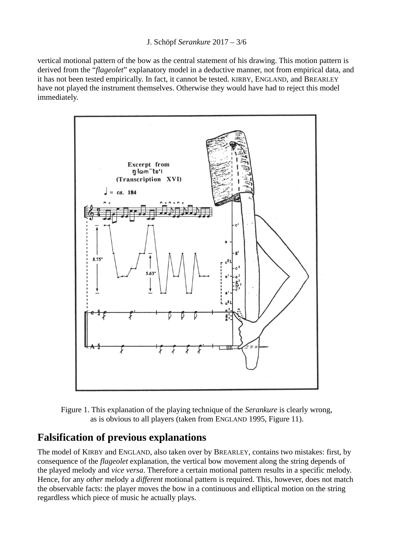vertical motional pattern of the bow as the central statement of his drawing. This motion pattern is derived from the "*flageolet*" explanatory model in a deductive manner, not from empirical data, and it has not been tested empirically. In fact, it cannot be tested. KIRBY, ENGLAND, and BREARLEY have not played the instrument themselves. Otherwise they would have had to reject this model immediately.



Figure 1. This explanation of the playing technique of the *Serankure* is clearly wrong, as is obvious to all players (taken from ENGLAND 1995, Figure 11).

## **Falsification of previous explanations**

The model of KIRBY and ENGLAND, also taken over by BREARLEY, contains two mistakes: first, by consequence of the *flageolet* explanation, the vertical bow movement along the string depends of the played melody and *vice versa*. Therefore a certain motional pattern results in a specific melody. Hence, for any *other* melody a *different* motional pattern is required. This, however, does not match the observable facts: the player moves the bow in a continuous and elliptical motion on the string regardless which piece of music he actually plays.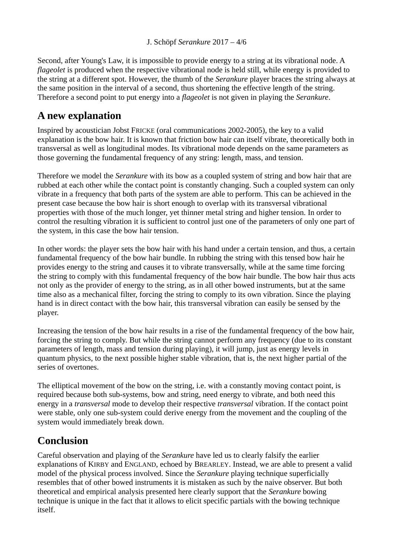J. Schöpf *Serankure* 2017 – 4/6

Second, after Young's Law, it is impossible to provide energy to a string at its vibrational node. A *flageolet* is produced when the respective vibrational node is held still, while energy is provided to the string at a different spot. However, the thumb of the *Serankure* player braces the string always at the same position in the interval of a second, thus shortening the effective length of the string. Therefore a second point to put energy into a *flageolet* is not given in playing the *Serankure*.

## **A new explanation**

Inspired by acoustician Jobst FRICKE (oral communications 2002-2005), the key to a valid explanation is the bow hair. It is known that friction bow hair can itself vibrate, theoretically both in transversal as well as longitudinal modes. Its vibrational mode depends on the same parameters as those governing the fundamental frequency of any string: length, mass, and tension.

Therefore we model the *Serankure* with its bow as a coupled system of string and bow hair that are rubbed at each other while the contact point is constantly changing. Such a coupled system can only vibrate in a frequency that both parts of the system are able to perform. This can be achieved in the present case because the bow hair is short enough to overlap with its transversal vibrational properties with those of the much longer, yet thinner metal string and higher tension. In order to control the resulting vibration it is sufficient to control just one of the parameters of only one part of the system, in this case the bow hair tension.

In other words: the player sets the bow hair with his hand under a certain tension, and thus, a certain fundamental frequency of the bow hair bundle. In rubbing the string with this tensed bow hair he provides energy to the string and causes it to vibrate transversally, while at the same time forcing the string to comply with this fundamental frequency of the bow hair bundle. The bow hair thus acts not only as the provider of energy to the string, as in all other bowed instruments, but at the same time also as a mechanical filter, forcing the string to comply to its own vibration. Since the playing hand is in direct contact with the bow hair, this transversal vibration can easily be sensed by the player.

Increasing the tension of the bow hair results in a rise of the fundamental frequency of the bow hair, forcing the string to comply. But while the string cannot perform any frequency (due to its constant parameters of length, mass and tension during playing), it will jump, just as energy levels in quantum physics, to the next possible higher stable vibration, that is, the next higher partial of the series of overtones.

The elliptical movement of the bow on the string, i.e. with a constantly moving contact point, is required because both sub-systems, bow and string, need energy to vibrate, and both need this energy in a *transversal* mode to develop their respective *transversal* vibration. If the contact point were stable, only one sub-system could derive energy from the movement and the coupling of the system would immediately break down.

# **Conclusion**

Careful observation and playing of the *Serankure* have led us to clearly falsify the earlier explanations of KIRBY and ENGLAND, echoed by BREARLEY. Instead, we are able to present a valid model of the physical process involved. Since the *Serankure* playing technique superficially resembles that of other bowed instruments it is mistaken as such by the naive observer. But both theoretical and empirical analysis presented here clearly support that the *Serankure* bowing technique is unique in the fact that it allows to elicit specific partials with the bowing technique itself.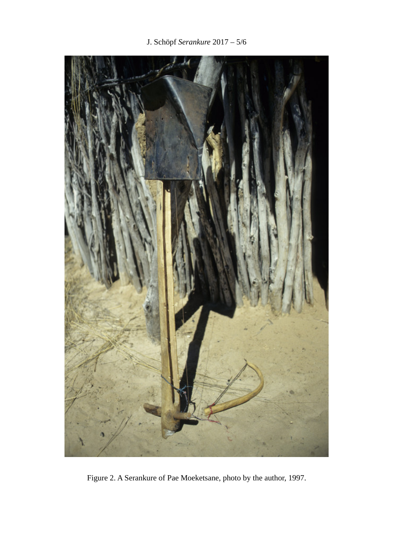J. Schöpf *Serankure* 2017 – 5/6



Figure 2. A Serankure of Pae Moeketsane, photo by the author, 1997.